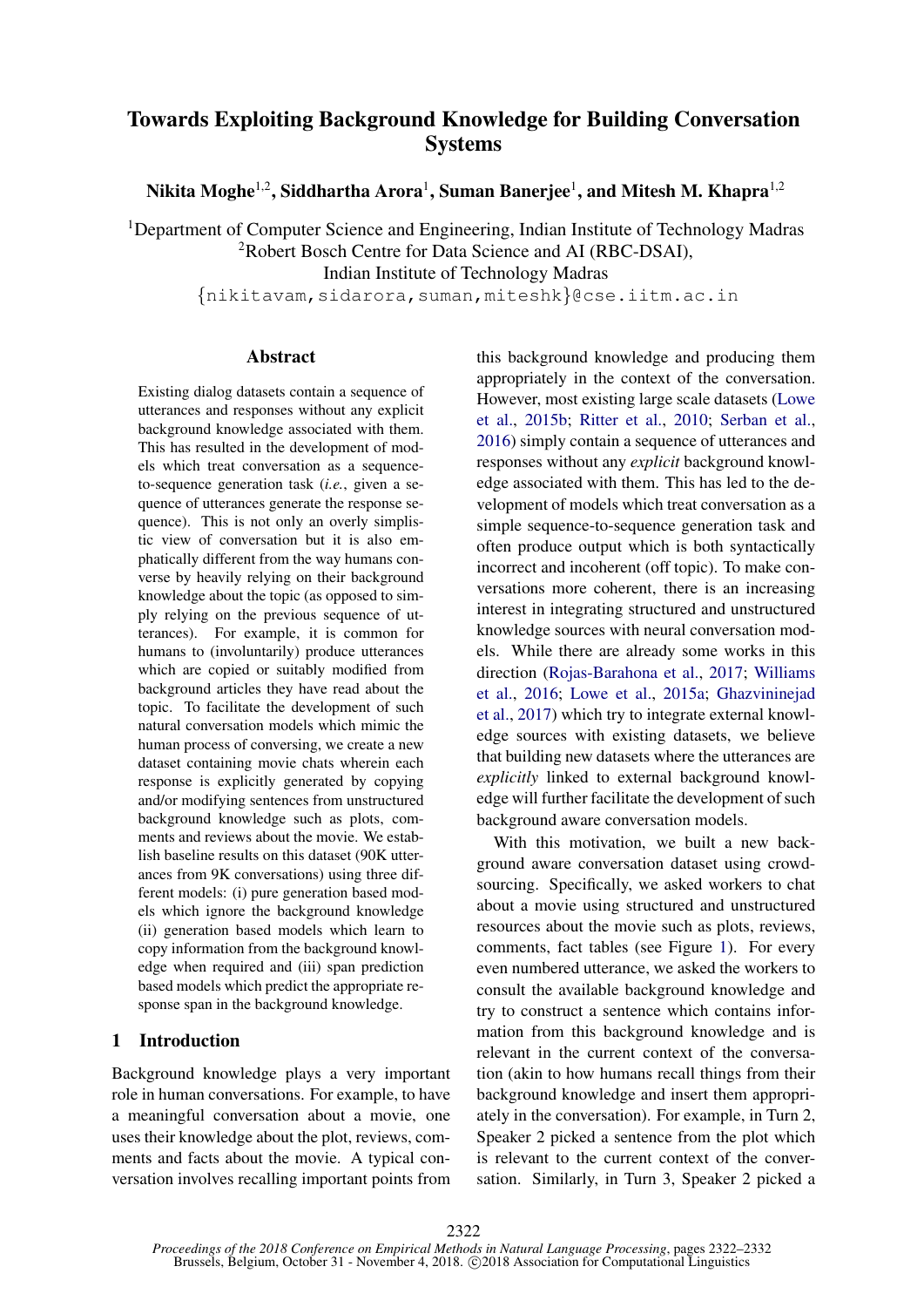# Towards Exploiting Background Knowledge for Building Conversation Systems

Nikita Moghe $^{1,2}$ , Siddhartha Arora $^{1}$ , Suman Banerjee $^{1}$ , and Mitesh M. Khapra $^{1,2}$ 

<sup>1</sup>Department of Computer Science and Engineering, Indian Institute of Technology Madras

<sup>2</sup>Robert Bosch Centre for Data Science and AI (RBC-DSAI),

Indian Institute of Technology Madras

{nikitavam,sidarora,suman,miteshk}@cse.iitm.ac.in

#### Abstract

Existing dialog datasets contain a sequence of utterances and responses without any explicit background knowledge associated with them. This has resulted in the development of models which treat conversation as a sequenceto-sequence generation task (*i.e.*, given a sequence of utterances generate the response sequence). This is not only an overly simplistic view of conversation but it is also emphatically different from the way humans converse by heavily relying on their background knowledge about the topic (as opposed to simply relying on the previous sequence of utterances). For example, it is common for humans to (involuntarily) produce utterances which are copied or suitably modified from background articles they have read about the topic. To facilitate the development of such natural conversation models which mimic the human process of conversing, we create a new dataset containing movie chats wherein each response is explicitly generated by copying and/or modifying sentences from unstructured background knowledge such as plots, comments and reviews about the movie. We establish baseline results on this dataset (90K utterances from 9K conversations) using three different models: (i) pure generation based models which ignore the background knowledge (ii) generation based models which learn to copy information from the background knowledge when required and (iii) span prediction based models which predict the appropriate response span in the background knowledge.

### <span id="page-0-0"></span>1 Introduction

Background knowledge plays a very important role in human conversations. For example, to have a meaningful conversation about a movie, one uses their knowledge about the plot, reviews, comments and facts about the movie. A typical conversation involves recalling important points from this background knowledge and producing them appropriately in the context of the conversation. However, most existing large scale datasets [\(Lowe](#page-9-0) [et al.,](#page-9-0) [2015b;](#page-9-0) [Ritter et al.,](#page-9-1) [2010;](#page-9-1) [Serban et al.,](#page-9-2) [2016\)](#page-9-2) simply contain a sequence of utterances and responses without any *explicit* background knowledge associated with them. This has led to the development of models which treat conversation as a simple sequence-to-sequence generation task and often produce output which is both syntactically incorrect and incoherent (off topic). To make conversations more coherent, there is an increasing interest in integrating structured and unstructured knowledge sources with neural conversation models. While there are already some works in this direction [\(Rojas-Barahona et al.,](#page-9-3) [2017;](#page-9-3) [Williams](#page-10-0) [et al.,](#page-10-0) [2016;](#page-10-0) [Lowe et al.,](#page-9-4) [2015a;](#page-9-4) [Ghazvininejad](#page-8-0) [et al.,](#page-8-0) [2017\)](#page-8-0) which try to integrate external knowledge sources with existing datasets, we believe that building new datasets where the utterances are *explicitly* linked to external background knowledge will further facilitate the development of such background aware conversation models.

With this motivation, we built a new background aware conversation dataset using crowdsourcing. Specifically, we asked workers to chat about a movie using structured and unstructured resources about the movie such as plots, reviews, comments, fact tables (see Figure [1\)](#page-0-0). For every even numbered utterance, we asked the workers to consult the available background knowledge and try to construct a sentence which contains information from this background knowledge and is relevant in the current context of the conversation (akin to how humans recall things from their background knowledge and insert them appropriately in the conversation). For example, in Turn 2, Speaker 2 picked a sentence from the plot which is relevant to the current context of the conversation. Similarly, in Turn 3, Speaker 2 picked a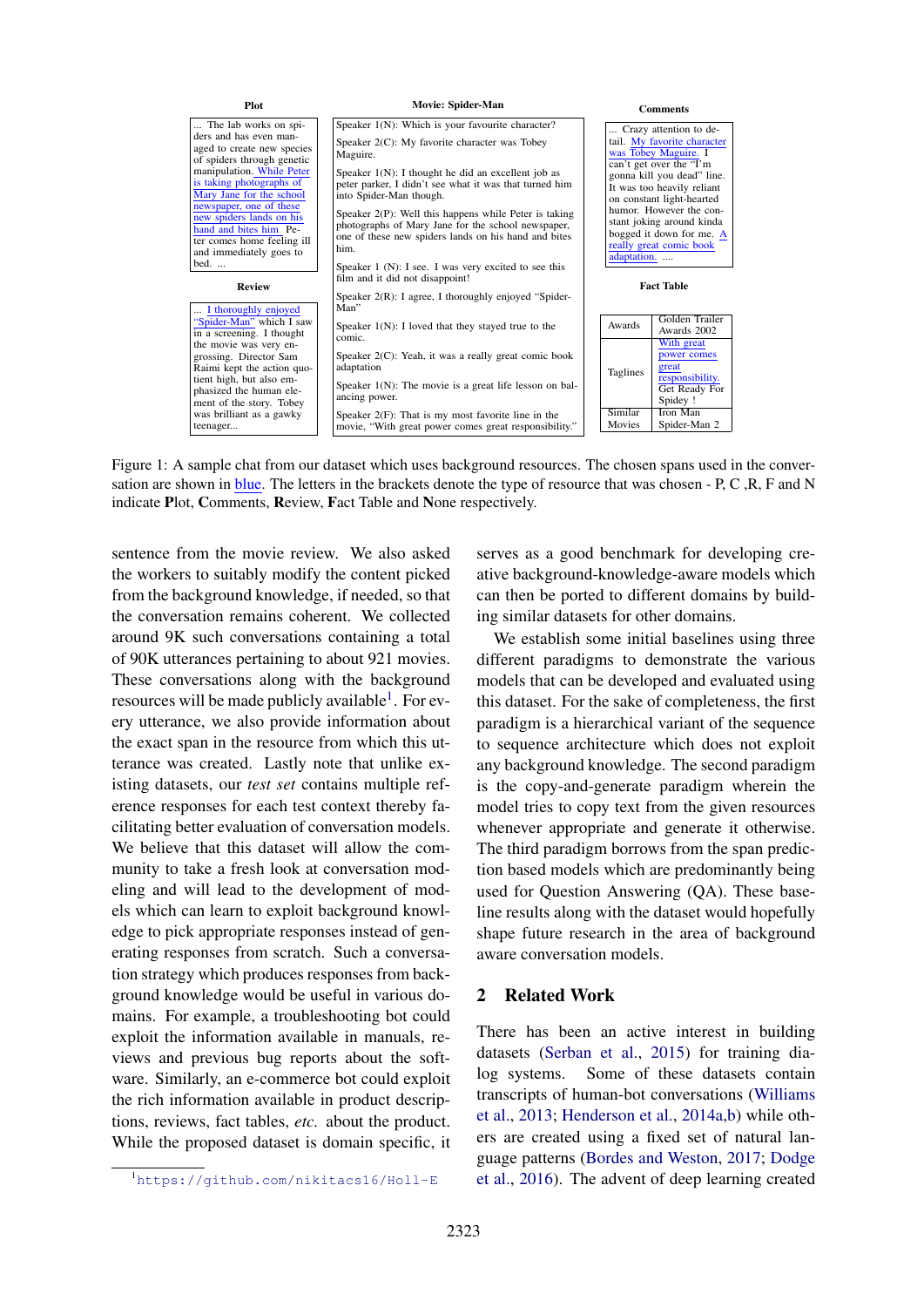| <b>Plot</b>                                                                                                                                                                                      | Movie: Spider-Man                                                                                                                                                                                                                                           | <b>Comments</b>     |                                                                                                                                                                                                   |  |  |
|--------------------------------------------------------------------------------------------------------------------------------------------------------------------------------------------------|-------------------------------------------------------------------------------------------------------------------------------------------------------------------------------------------------------------------------------------------------------------|---------------------|---------------------------------------------------------------------------------------------------------------------------------------------------------------------------------------------------|--|--|
| The lab works on spi-<br>ders and has even man-<br>aged to create new species<br>of spiders through genetic<br>manipulation. While Peter<br>is taking photographs of<br>Mary Jane for the school | Speaker 1(N): Which is your favourite character?<br>Speaker 2(C): My favorite character was Tobey<br>Maguire.<br>Speaker $1(N)$ : I thought he did an excellent job as<br>peter parker, I didn't see what it was that turned him<br>into Spider-Man though. |                     | Crazy attention to de-<br>tail. My favorite character<br>was Tobey Maguire. I<br>can't get over the "I'm<br>gonna kill you dead" line.<br>It was too heavily reliant<br>on constant light-hearted |  |  |
| newspaper, one of these<br>new spiders lands on his<br>hand and bites him Pe-<br>ter comes home feeling ill<br>and immediately goes to<br>bed.                                                   | Speaker 2(P): Well this happens while Peter is taking<br>photographs of Mary Jane for the school newspaper,<br>one of these new spiders lands on his hand and bites<br>him.<br>Speaker $1$ (N): I see. I was very excited to see this                       | adaptation.         | humor. However the con-<br>stant joking around kinda<br>bogged it down for me. A<br>really great comic book                                                                                       |  |  |
| <b>Review</b><br>I thoroughly enjoyed                                                                                                                                                            | film and it did not disappoint!<br>Speaker $2(R)$ : I agree, I thoroughly enjoyed "Spider-<br>Man"                                                                                                                                                          |                     | <b>Fact Table</b>                                                                                                                                                                                 |  |  |
| "Spider-Man" which I saw<br>in a screening. I thought                                                                                                                                            | Speaker $1(N)$ : I loved that they stayed true to the<br>comic.                                                                                                                                                                                             | Awards              | Golden Trailer<br>Awards 2002                                                                                                                                                                     |  |  |
| the movie was very en-<br>grossing. Director Sam<br>Raimi kept the action quo-<br>tient high, but also em-<br>phasized the human ele-<br>ment of the story. Tobey                                | Speaker 2(C): Yeah, it was a really great comic book<br>adaptation<br>Speaker $1(N)$ : The movie is a great life lesson on bal-<br>ancing power.                                                                                                            | Taglines<br>Similar | With great<br>power comes<br>great<br>responsibility.<br>Get Ready For<br>Spidey !<br>Iron Man                                                                                                    |  |  |
| was brilliant as a gawky<br>teenager                                                                                                                                                             | Speaker $2(F)$ : That is my most favorite line in the<br>movie, "With great power comes great responsibility."                                                                                                                                              | Movies              | Spider-Man 2                                                                                                                                                                                      |  |  |

Figure 1: A sample chat from our dataset which uses background resources. The chosen spans used in the conversation are shown in blue. The letters in the brackets denote the type of resource that was chosen - P, C, R, F and N indicate Plot, Comments, Review, Fact Table and None respectively.

sentence from the movie review. We also asked the workers to suitably modify the content picked from the background knowledge, if needed, so that the conversation remains coherent. We collected around 9K such conversations containing a total of 90K utterances pertaining to about 921 movies. These conversations along with the background resources will be made publicly available<sup>[1](#page-1-0)</sup>. For every utterance, we also provide information about the exact span in the resource from which this utterance was created. Lastly note that unlike existing datasets, our *test set* contains multiple reference responses for each test context thereby facilitating better evaluation of conversation models. We believe that this dataset will allow the community to take a fresh look at conversation modeling and will lead to the development of models which can learn to exploit background knowledge to pick appropriate responses instead of generating responses from scratch. Such a conversation strategy which produces responses from background knowledge would be useful in various domains. For example, a troubleshooting bot could exploit the information available in manuals, reviews and previous bug reports about the software. Similarly, an e-commerce bot could exploit the rich information available in product descriptions, reviews, fact tables, *etc.* about the product. While the proposed dataset is domain specific, it

2323

serves as a good benchmark for developing creative background-knowledge-aware models which can then be ported to different domains by building similar datasets for other domains.

We establish some initial baselines using three different paradigms to demonstrate the various models that can be developed and evaluated using this dataset. For the sake of completeness, the first paradigm is a hierarchical variant of the sequence to sequence architecture which does not exploit any background knowledge. The second paradigm is the copy-and-generate paradigm wherein the model tries to copy text from the given resources whenever appropriate and generate it otherwise. The third paradigm borrows from the span prediction based models which are predominantly being used for Question Answering (QA). These baseline results along with the dataset would hopefully shape future research in the area of background aware conversation models.

### 2 Related Work

There has been an active interest in building datasets [\(Serban et al.,](#page-9-5) [2015\)](#page-9-5) for training dialog systems. Some of these datasets contain transcripts of human-bot conversations [\(Williams](#page-10-1) [et al.,](#page-10-1) [2013;](#page-10-1) [Henderson et al.,](#page-8-1) [2014a,](#page-8-1)[b\)](#page-8-2) while others are created using a fixed set of natural language patterns [\(Bordes and Weston,](#page-8-3) [2017;](#page-8-3) [Dodge](#page-8-4) [et al.,](#page-8-4) [2016\)](#page-8-4). The advent of deep learning created

<span id="page-1-0"></span><sup>1</sup><https://github.com/nikitacs16/Holl-E>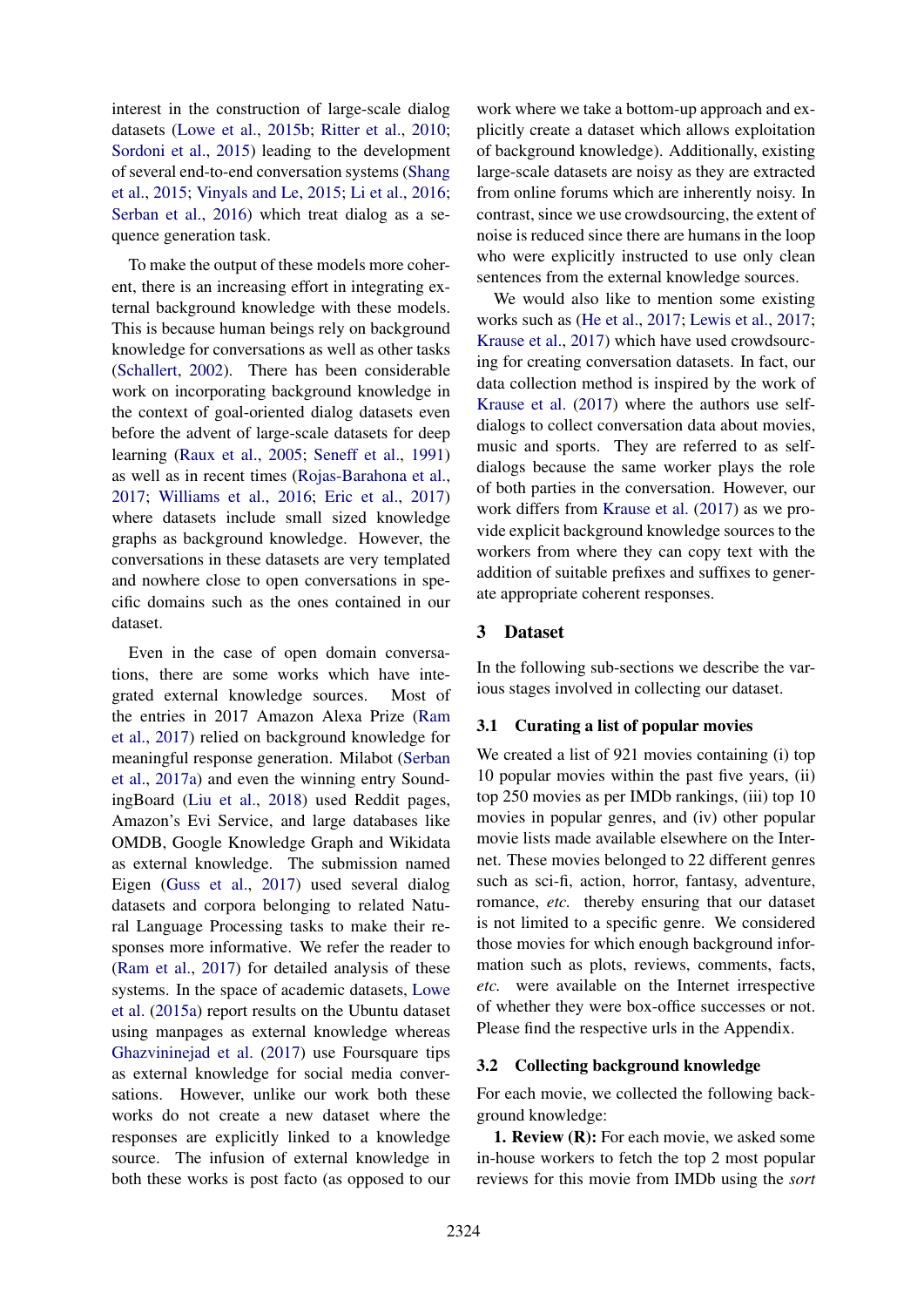interest in the construction of large-scale dialog datasets [\(Lowe et al.,](#page-9-0) [2015b;](#page-9-0) [Ritter et al.,](#page-9-1) [2010;](#page-9-1) [Sordoni et al.,](#page-10-2) [2015\)](#page-10-2) leading to the development of several end-to-end conversation systems [\(Shang](#page-9-6) [et al.,](#page-9-6) [2015;](#page-9-6) [Vinyals and Le,](#page-10-3) [2015;](#page-10-3) [Li et al.,](#page-8-5) [2016;](#page-8-5) [Serban et al.,](#page-9-2) [2016\)](#page-9-2) which treat dialog as a sequence generation task.

To make the output of these models more coherent, there is an increasing effort in integrating external background knowledge with these models. This is because human beings rely on background knowledge for conversations as well as other tasks [\(Schallert,](#page-9-7) [2002\)](#page-9-7). There has been considerable work on incorporating background knowledge in the context of goal-oriented dialog datasets even before the advent of large-scale datasets for deep learning [\(Raux et al.,](#page-9-8) [2005;](#page-9-8) [Seneff et al.,](#page-9-9) [1991\)](#page-9-9) as well as in recent times [\(Rojas-Barahona et al.,](#page-9-3) [2017;](#page-9-3) [Williams et al.,](#page-10-0) [2016;](#page-10-0) [Eric et al.,](#page-8-6) [2017\)](#page-8-6) where datasets include small sized knowledge graphs as background knowledge. However, the conversations in these datasets are very templated and nowhere close to open conversations in specific domains such as the ones contained in our dataset.

Even in the case of open domain conversations, there are some works which have integrated external knowledge sources. Most of the entries in 2017 Amazon Alexa Prize [\(Ram](#page-9-10) [et al.,](#page-9-10) [2017\)](#page-9-10) relied on background knowledge for meaningful response generation. Milabot [\(Serban](#page-9-11) [et al.,](#page-9-11) [2017a\)](#page-9-11) and even the winning entry SoundingBoard [\(Liu et al.,](#page-9-12) [2018\)](#page-9-12) used Reddit pages, Amazon's Evi Service, and large databases like OMDB, Google Knowledge Graph and Wikidata as external knowledge. The submission named Eigen [\(Guss et al.,](#page-8-7) [2017\)](#page-8-7) used several dialog datasets and corpora belonging to related Natural Language Processing tasks to make their responses more informative. We refer the reader to [\(Ram et al.,](#page-9-10) [2017\)](#page-9-10) for detailed analysis of these systems. In the space of academic datasets, [Lowe](#page-9-4) [et al.](#page-9-4) [\(2015a\)](#page-9-4) report results on the Ubuntu dataset using manpages as external knowledge whereas [Ghazvininejad et al.](#page-8-0) [\(2017\)](#page-8-0) use Foursquare tips as external knowledge for social media conversations. However, unlike our work both these works do not create a new dataset where the responses are explicitly linked to a knowledge source. The infusion of external knowledge in both these works is post facto (as opposed to our

work where we take a bottom-up approach and explicitly create a dataset which allows exploitation of background knowledge). Additionally, existing large-scale datasets are noisy as they are extracted from online forums which are inherently noisy. In contrast, since we use crowdsourcing, the extent of noise is reduced since there are humans in the loop who were explicitly instructed to use only clean sentences from the external knowledge sources.

We would also like to mention some existing works such as [\(He et al.,](#page-8-8) [2017;](#page-8-8) [Lewis et al.,](#page-8-9) [2017;](#page-8-9) [Krause et al.,](#page-8-10) [2017\)](#page-8-10) which have used crowdsourcing for creating conversation datasets. In fact, our data collection method is inspired by the work of [Krause et al.](#page-8-10) [\(2017\)](#page-8-10) where the authors use selfdialogs to collect conversation data about movies, music and sports. They are referred to as selfdialogs because the same worker plays the role of both parties in the conversation. However, our work differs from [Krause et al.](#page-8-10) [\(2017\)](#page-8-10) as we provide explicit background knowledge sources to the workers from where they can copy text with the addition of suitable prefixes and suffixes to generate appropriate coherent responses.

### 3 Dataset

In the following sub-sections we describe the various stages involved in collecting our dataset.

#### 3.1 Curating a list of popular movies

We created a list of 921 movies containing (i) top 10 popular movies within the past five years, (ii) top 250 movies as per IMDb rankings, (iii) top 10 movies in popular genres, and (iv) other popular movie lists made available elsewhere on the Internet. These movies belonged to 22 different genres such as sci-fi, action, horror, fantasy, adventure, romance, *etc.* thereby ensuring that our dataset is not limited to a specific genre. We considered those movies for which enough background information such as plots, reviews, comments, facts, *etc.* were available on the Internet irrespective of whether they were box-office successes or not. Please find the respective urls in the Appendix.

#### 3.2 Collecting background knowledge

For each movie, we collected the following background knowledge:

1. Review (R): For each movie, we asked some in-house workers to fetch the top 2 most popular reviews for this movie from IMDb using the *sort*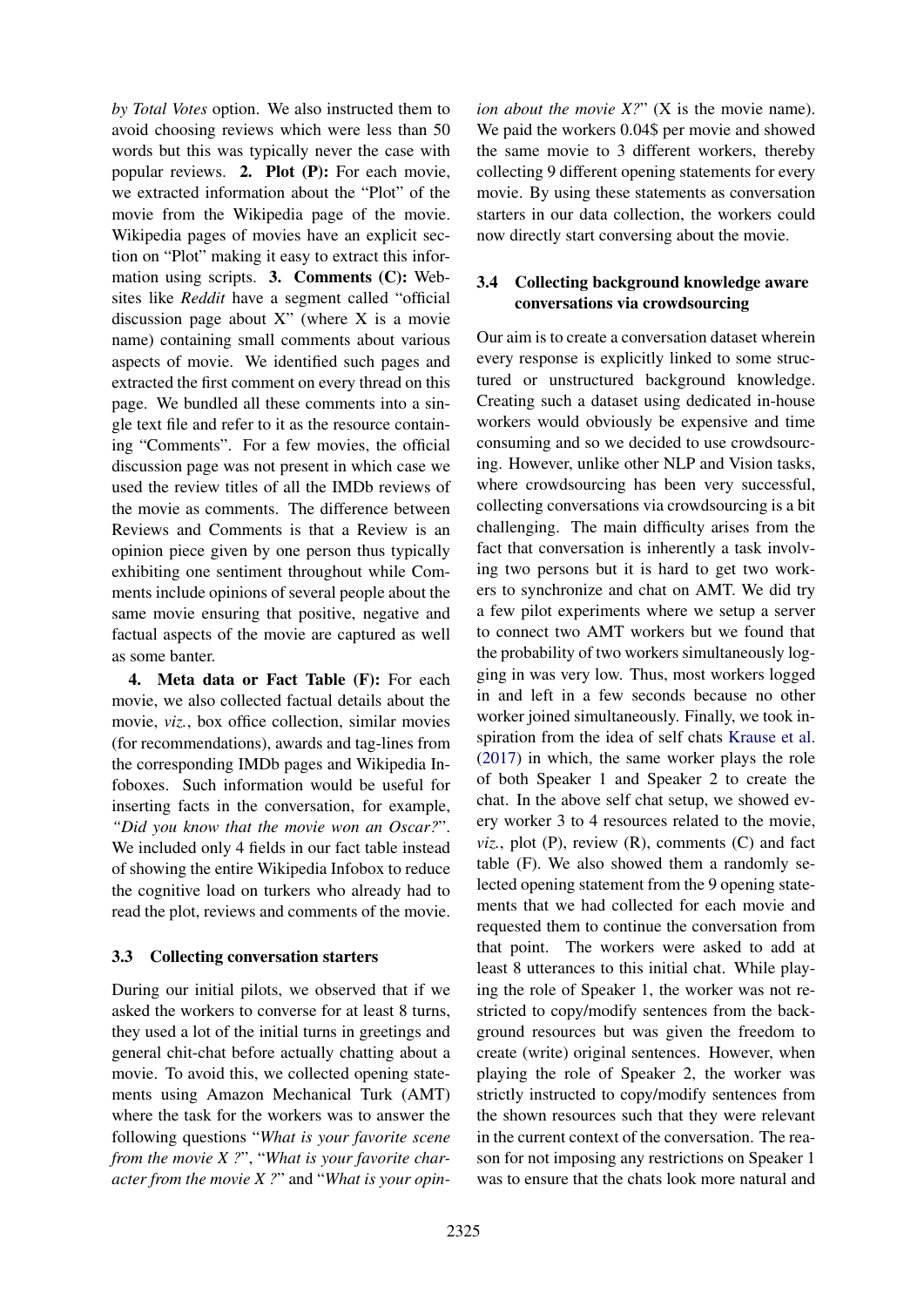*by Total Votes* option. We also instructed them to avoid choosing reviews which were less than 50 words but this was typically never the case with popular reviews. 2. Plot (P): For each movie, we extracted information about the "Plot" of the movie from the Wikipedia page of the movie. Wikipedia pages of movies have an explicit section on "Plot" making it easy to extract this information using scripts. 3. Comments (C): Websites like *Reddit* have a segment called "official discussion page about X" (where X is a movie name) containing small comments about various aspects of movie. We identified such pages and extracted the first comment on every thread on this page. We bundled all these comments into a single text file and refer to it as the resource containing "Comments". For a few movies, the official discussion page was not present in which case we used the review titles of all the IMDb reviews of the movie as comments. The difference between Reviews and Comments is that a Review is an opinion piece given by one person thus typically exhibiting one sentiment throughout while Comments include opinions of several people about the same movie ensuring that positive, negative and factual aspects of the movie are captured as well as some banter.

4. Meta data or Fact Table (F): For each movie, we also collected factual details about the movie, *viz.*, box office collection, similar movies (for recommendations), awards and tag-lines from the corresponding IMDb pages and Wikipedia Infoboxes. Such information would be useful for inserting facts in the conversation, for example, *"Did you know that the movie won an Oscar?*". We included only 4 fields in our fact table instead of showing the entire Wikipedia Infobox to reduce the cognitive load on turkers who already had to read the plot, reviews and comments of the movie.

# 3.3 Collecting conversation starters

During our initial pilots, we observed that if we asked the workers to converse for at least 8 turns, they used a lot of the initial turns in greetings and general chit-chat before actually chatting about a movie. To avoid this, we collected opening statements using Amazon Mechanical Turk (AMT) where the task for the workers was to answer the following questions "*What is your favorite scene from the movie X ?*", "*What is your favorite character from the movie X ?*" and "*What is your opin-*

*ion about the movie X?*" (X is the movie name). We paid the workers 0.04\$ per movie and showed the same movie to 3 different workers, thereby collecting 9 different opening statements for every movie. By using these statements as conversation starters in our data collection, the workers could now directly start conversing about the movie.

# 3.4 Collecting background knowledge aware conversations via crowdsourcing

Our aim is to create a conversation dataset wherein every response is explicitly linked to some structured or unstructured background knowledge. Creating such a dataset using dedicated in-house workers would obviously be expensive and time consuming and so we decided to use crowdsourcing. However, unlike other NLP and Vision tasks, where crowdsourcing has been very successful, collecting conversations via crowdsourcing is a bit challenging. The main difficulty arises from the fact that conversation is inherently a task involving two persons but it is hard to get two workers to synchronize and chat on AMT. We did try a few pilot experiments where we setup a server to connect two AMT workers but we found that the probability of two workers simultaneously logging in was very low. Thus, most workers logged in and left in a few seconds because no other worker joined simultaneously. Finally, we took inspiration from the idea of self chats [Krause et al.](#page-8-10) [\(2017\)](#page-8-10) in which, the same worker plays the role of both Speaker 1 and Speaker 2 to create the chat. In the above self chat setup, we showed every worker 3 to 4 resources related to the movie, *viz.*, plot (P), review (R), comments (C) and fact table (F). We also showed them a randomly selected opening statement from the 9 opening statements that we had collected for each movie and requested them to continue the conversation from that point. The workers were asked to add at least 8 utterances to this initial chat. While playing the role of Speaker 1, the worker was not restricted to copy/modify sentences from the background resources but was given the freedom to create (write) original sentences. However, when playing the role of Speaker 2, the worker was strictly instructed to copy/modify sentences from the shown resources such that they were relevant in the current context of the conversation. The reason for not imposing any restrictions on Speaker 1 was to ensure that the chats look more natural and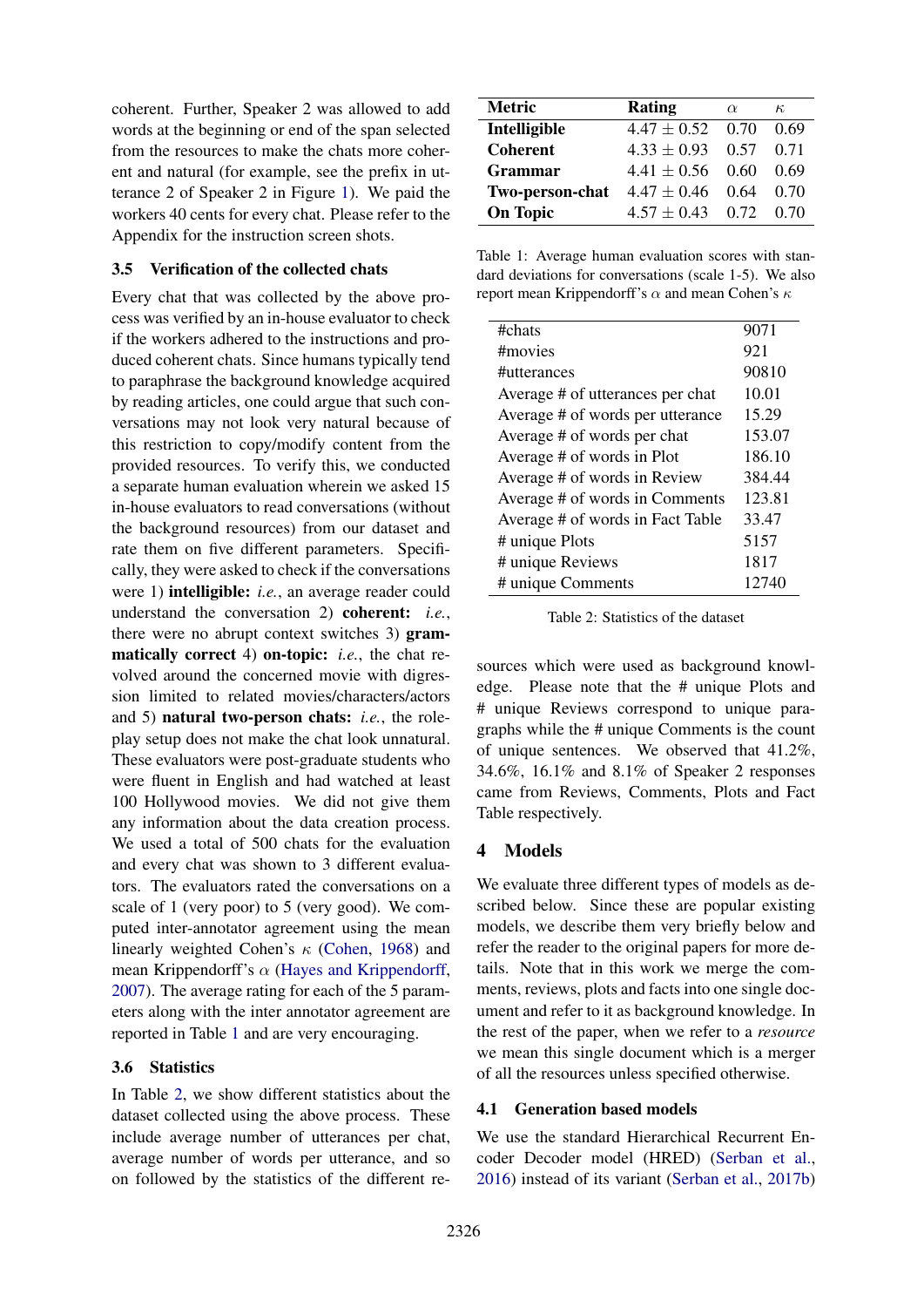coherent. Further, Speaker 2 was allowed to add words at the beginning or end of the span selected from the resources to make the chats more coherent and natural (for example, see the prefix in utterance 2 of Speaker 2 in Figure [1\)](#page-0-0). We paid the workers 40 cents for every chat. Please refer to the Appendix for the instruction screen shots.

### 3.5 Verification of the collected chats

Every chat that was collected by the above process was verified by an in-house evaluator to check if the workers adhered to the instructions and produced coherent chats. Since humans typically tend to paraphrase the background knowledge acquired by reading articles, one could argue that such conversations may not look very natural because of this restriction to copy/modify content from the provided resources. To verify this, we conducted a separate human evaluation wherein we asked 15 in-house evaluators to read conversations (without the background resources) from our dataset and rate them on five different parameters. Specifically, they were asked to check if the conversations were 1) intelligible: *i.e.*, an average reader could understand the conversation 2) coherent: *i.e.*, there were no abrupt context switches 3) grammatically correct 4) on-topic: *i.e.*, the chat revolved around the concerned movie with digression limited to related movies/characters/actors and 5) natural two-person chats: *i.e.*, the roleplay setup does not make the chat look unnatural. These evaluators were post-graduate students who were fluent in English and had watched at least 100 Hollywood movies. We did not give them any information about the data creation process. We used a total of 500 chats for the evaluation and every chat was shown to 3 different evaluators. The evaluators rated the conversations on a scale of 1 (very poor) to 5 (very good). We computed inter-annotator agreement using the mean linearly weighted Cohen's  $\kappa$  [\(Cohen,](#page-8-11) [1968\)](#page-8-11) and mean Krippendorff's  $\alpha$  [\(Hayes and Krippendorff,](#page-8-12) [2007\)](#page-8-12). The average rating for each of the 5 parameters along with the inter annotator agreement are reported in Table [1](#page-4-0) and are very encouraging.

### 3.6 Statistics

In Table [2,](#page-4-1) we show different statistics about the dataset collected using the above process. These include average number of utterances per chat, average number of words per utterance, and so on followed by the statistics of the different re-

| <b>Metric</b>   | Rating               | $\alpha$ | $\kappa$ |
|-----------------|----------------------|----------|----------|
| Intelligible    | $4.47 \pm 0.52$      | 0.70     | 0.69     |
| <b>Coherent</b> | $4.33 \pm 0.93$      | 0.57     | 0.71     |
| <b>Grammar</b>  | $4.41 \pm 0.56$      | 0.60     | 0.69     |
| Two-person-chat | $4.47 \pm 0.46$      | 0.64     | 0.70     |
| <b>On Topic</b> | $4.57 \pm 0.43$ 0.72 |          | 0.70     |

<span id="page-4-0"></span>Table 1: Average human evaluation scores with standard deviations for conversations (scale 1-5). We also report mean Krippendorff's α and mean Cohen's  $κ$ 

| #chats                           | 9071   |
|----------------------------------|--------|
| #movies                          | 921    |
| #utterances                      | 90810  |
| Average # of utterances per chat | 10.01  |
| Average # of words per utterance | 15.29  |
| Average # of words per chat      | 153.07 |
| Average # of words in Plot       | 186.10 |
| Average # of words in Review     | 384.44 |
| Average # of words in Comments   | 123.81 |
| Average # of words in Fact Table | 33.47  |
| # unique Plots                   | 5157   |
| # unique Reviews                 | 1817   |
| # unique Comments                | 12740  |
|                                  |        |

<span id="page-4-1"></span>Table 2: Statistics of the dataset

sources which were used as background knowledge. Please note that the # unique Plots and # unique Reviews correspond to unique paragraphs while the # unique Comments is the count of unique sentences. We observed that 41.2%, 34.6%, 16.1% and 8.1% of Speaker 2 responses came from Reviews, Comments, Plots and Fact Table respectively.

# 4 Models

We evaluate three different types of models as described below. Since these are popular existing models, we describe them very briefly below and refer the reader to the original papers for more details. Note that in this work we merge the comments, reviews, plots and facts into one single document and refer to it as background knowledge. In the rest of the paper, when we refer to a *resource* we mean this single document which is a merger of all the resources unless specified otherwise.

# 4.1 Generation based models

We use the standard Hierarchical Recurrent Encoder Decoder model (HRED) [\(Serban et al.,](#page-9-2) [2016\)](#page-9-2) instead of its variant [\(Serban et al.,](#page-9-13) [2017b\)](#page-9-13)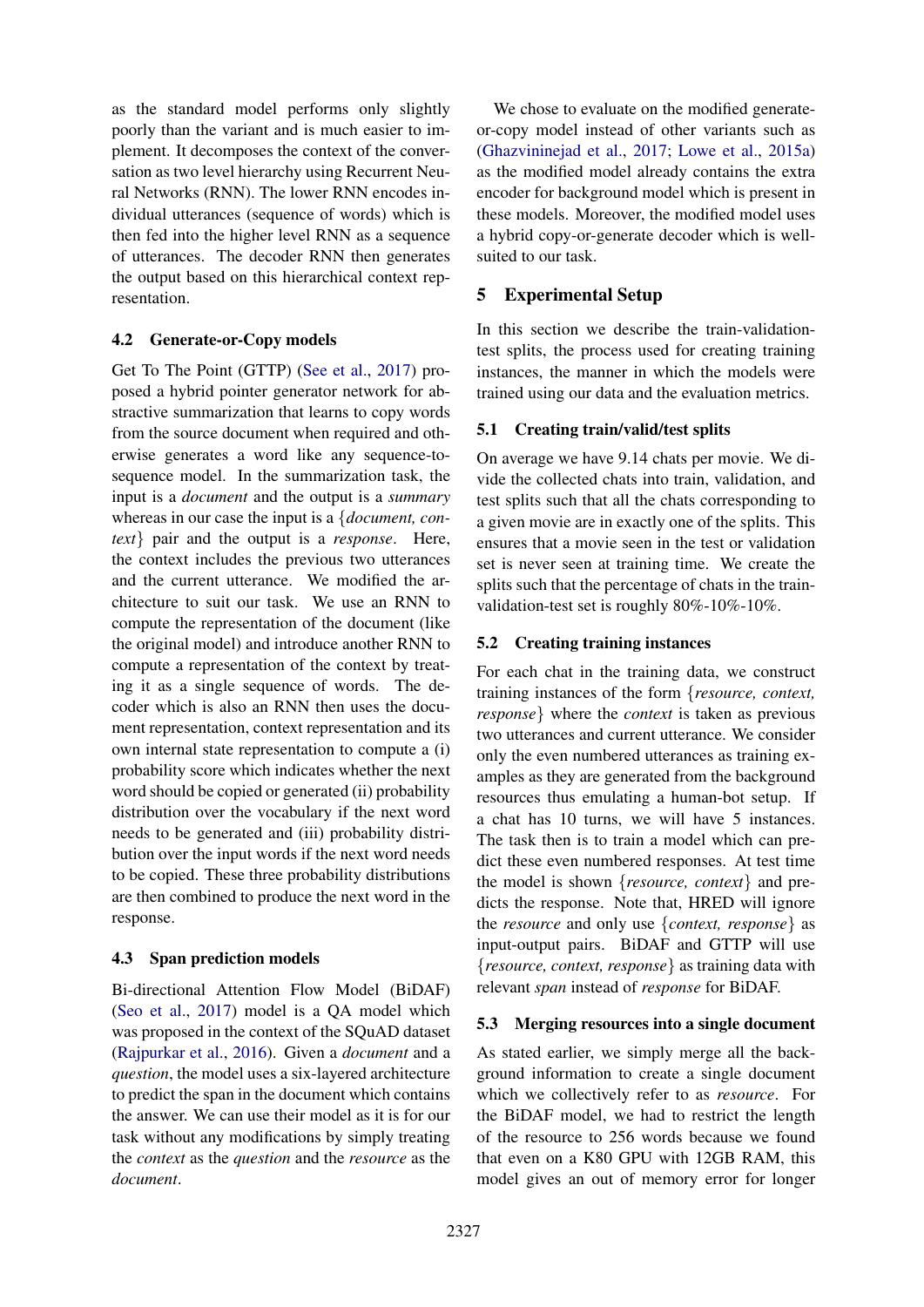as the standard model performs only slightly poorly than the variant and is much easier to implement. It decomposes the context of the conversation as two level hierarchy using Recurrent Neural Networks (RNN). The lower RNN encodes individual utterances (sequence of words) which is then fed into the higher level RNN as a sequence of utterances. The decoder RNN then generates the output based on this hierarchical context representation.

### 4.2 Generate-or-Copy models

Get To The Point (GTTP) [\(See et al.,](#page-9-14) [2017\)](#page-9-14) proposed a hybrid pointer generator network for abstractive summarization that learns to copy words from the source document when required and otherwise generates a word like any sequence-tosequence model. In the summarization task, the input is a *document* and the output is a *summary* whereas in our case the input is a {*document, context*} pair and the output is a *response*. Here, the context includes the previous two utterances and the current utterance. We modified the architecture to suit our task. We use an RNN to compute the representation of the document (like the original model) and introduce another RNN to compute a representation of the context by treating it as a single sequence of words. The decoder which is also an RNN then uses the document representation, context representation and its own internal state representation to compute a (i) probability score which indicates whether the next word should be copied or generated (ii) probability distribution over the vocabulary if the next word needs to be generated and (iii) probability distribution over the input words if the next word needs to be copied. These three probability distributions are then combined to produce the next word in the response.

# 4.3 Span prediction models

Bi-directional Attention Flow Model (BiDAF) [\(Seo et al.,](#page-9-15) [2017\)](#page-9-15) model is a QA model which was proposed in the context of the SQuAD dataset [\(Rajpurkar et al.,](#page-9-16) [2016\)](#page-9-16). Given a *document* and a *question*, the model uses a six-layered architecture to predict the span in the document which contains the answer. We can use their model as it is for our task without any modifications by simply treating the *context* as the *question* and the *resource* as the *document*.

We chose to evaluate on the modified generateor-copy model instead of other variants such as [\(Ghazvininejad et al.,](#page-8-0) [2017;](#page-8-0) [Lowe et al.,](#page-9-4) [2015a\)](#page-9-4) as the modified model already contains the extra encoder for background model which is present in these models. Moreover, the modified model uses a hybrid copy-or-generate decoder which is wellsuited to our task.

# 5 Experimental Setup

In this section we describe the train-validationtest splits, the process used for creating training instances, the manner in which the models were trained using our data and the evaluation metrics.

# 5.1 Creating train/valid/test splits

On average we have 9.14 chats per movie. We divide the collected chats into train, validation, and test splits such that all the chats corresponding to a given movie are in exactly one of the splits. This ensures that a movie seen in the test or validation set is never seen at training time. We create the splits such that the percentage of chats in the trainvalidation-test set is roughly 80%-10%-10%.

# 5.2 Creating training instances

For each chat in the training data, we construct training instances of the form {*resource, context, response*} where the *context* is taken as previous two utterances and current utterance. We consider only the even numbered utterances as training examples as they are generated from the background resources thus emulating a human-bot setup. If a chat has 10 turns, we will have 5 instances. The task then is to train a model which can predict these even numbered responses. At test time the model is shown {*resource, context*} and predicts the response. Note that, HRED will ignore the *resource* and only use {*context, response*} as input-output pairs. BiDAF and GTTP will use {*resource, context, response*} as training data with relevant *span* instead of *response* for BiDAF.

# 5.3 Merging resources into a single document

As stated earlier, we simply merge all the background information to create a single document which we collectively refer to as *resource*. For the BiDAF model, we had to restrict the length of the resource to 256 words because we found that even on a K80 GPU with 12GB RAM, this model gives an out of memory error for longer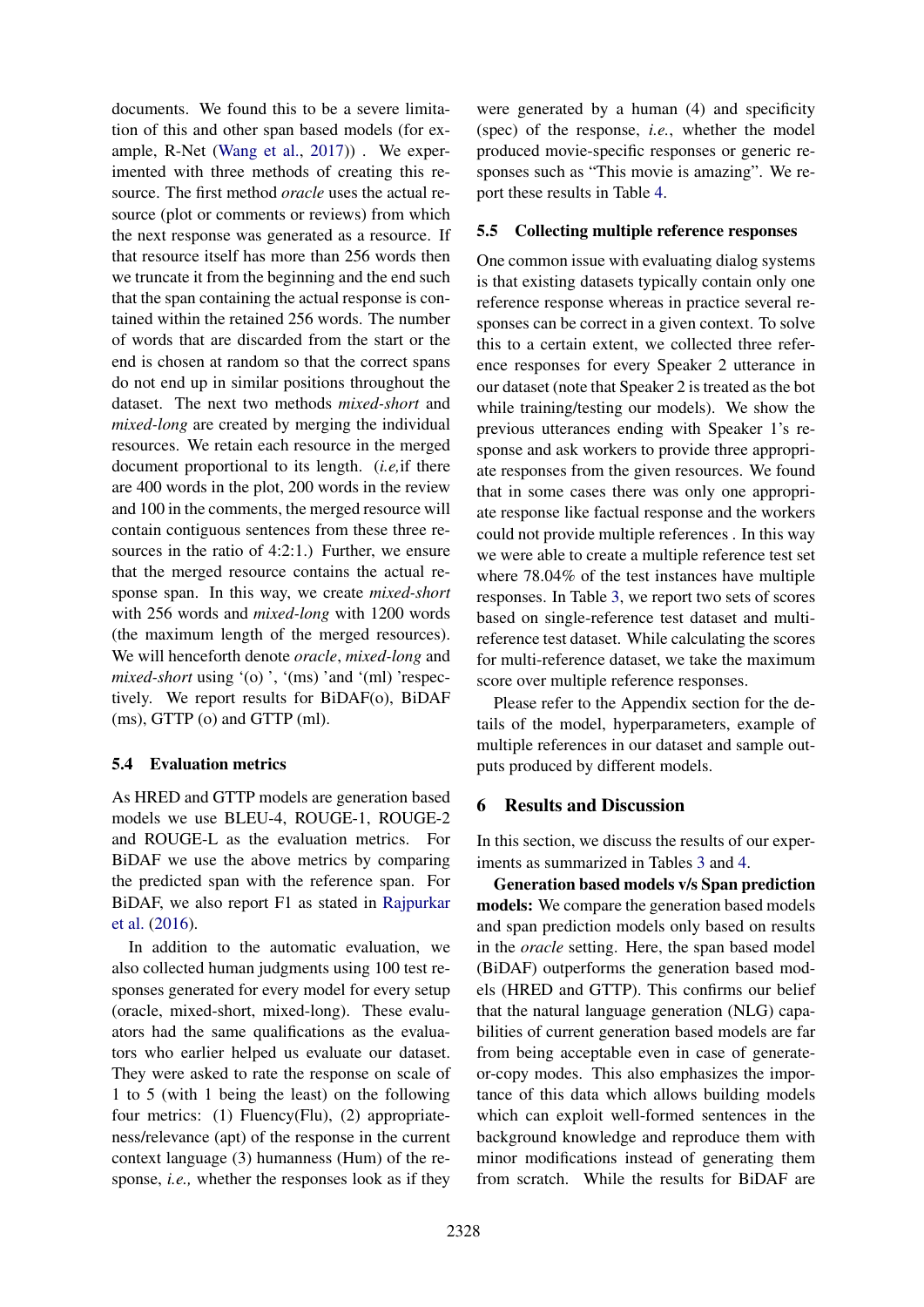documents. We found this to be a severe limitation of this and other span based models (for example, R-Net [\(Wang et al.,](#page-10-4) [2017\)](#page-10-4)) . We experimented with three methods of creating this resource. The first method *oracle* uses the actual resource (plot or comments or reviews) from which the next response was generated as a resource. If that resource itself has more than 256 words then we truncate it from the beginning and the end such that the span containing the actual response is contained within the retained 256 words. The number of words that are discarded from the start or the end is chosen at random so that the correct spans do not end up in similar positions throughout the dataset. The next two methods *mixed-short* and *mixed-long* are created by merging the individual resources. We retain each resource in the merged document proportional to its length. (*i.e,*if there are 400 words in the plot, 200 words in the review and 100 in the comments, the merged resource will contain contiguous sentences from these three resources in the ratio of 4:2:1.) Further, we ensure that the merged resource contains the actual response span. In this way, we create *mixed-short* with 256 words and *mixed-long* with 1200 words (the maximum length of the merged resources). We will henceforth denote *oracle*, *mixed-long* and *mixed-short* using '(o)', '(ms)' and '(ml)' respectively. We report results for BiDAF(o), BiDAF (ms), GTTP (o) and GTTP (ml).

# 5.4 Evaluation metrics

As HRED and GTTP models are generation based models we use BLEU-4, ROUGE-1, ROUGE-2 and ROUGE-L as the evaluation metrics. For BiDAF we use the above metrics by comparing the predicted span with the reference span. For BiDAF, we also report F1 as stated in [Rajpurkar](#page-9-16) [et al.](#page-9-16) [\(2016\)](#page-9-16).

In addition to the automatic evaluation, we also collected human judgments using 100 test responses generated for every model for every setup (oracle, mixed-short, mixed-long). These evaluators had the same qualifications as the evaluators who earlier helped us evaluate our dataset. They were asked to rate the response on scale of 1 to 5 (with 1 being the least) on the following four metrics: (1) Fluency(Flu), (2) appropriateness/relevance (apt) of the response in the current context language (3) humanness (Hum) of the response, *i.e.,* whether the responses look as if they

were generated by a human (4) and specificity (spec) of the response, *i.e.*, whether the model produced movie-specific responses or generic responses such as "This movie is amazing". We report these results in Table [4.](#page-7-0)

### 5.5 Collecting multiple reference responses

One common issue with evaluating dialog systems is that existing datasets typically contain only one reference response whereas in practice several responses can be correct in a given context. To solve this to a certain extent, we collected three reference responses for every Speaker 2 utterance in our dataset (note that Speaker 2 is treated as the bot while training/testing our models). We show the previous utterances ending with Speaker 1's response and ask workers to provide three appropriate responses from the given resources. We found that in some cases there was only one appropriate response like factual response and the workers could not provide multiple references . In this way we were able to create a multiple reference test set where 78.04% of the test instances have multiple responses. In Table [3,](#page-7-1) we report two sets of scores based on single-reference test dataset and multireference test dataset. While calculating the scores for multi-reference dataset, we take the maximum score over multiple reference responses.

Please refer to the Appendix section for the details of the model, hyperparameters, example of multiple references in our dataset and sample outputs produced by different models.

# 6 Results and Discussion

In this section, we discuss the results of our experiments as summarized in Tables [3](#page-7-1) and [4.](#page-7-0)

Generation based models v/s Span prediction models: We compare the generation based models and span prediction models only based on results in the *oracle* setting. Here, the span based model (BiDAF) outperforms the generation based models (HRED and GTTP). This confirms our belief that the natural language generation (NLG) capabilities of current generation based models are far from being acceptable even in case of generateor-copy modes. This also emphasizes the importance of this data which allows building models which can exploit well-formed sentences in the background knowledge and reproduce them with minor modifications instead of generating them from scratch. While the results for BiDAF are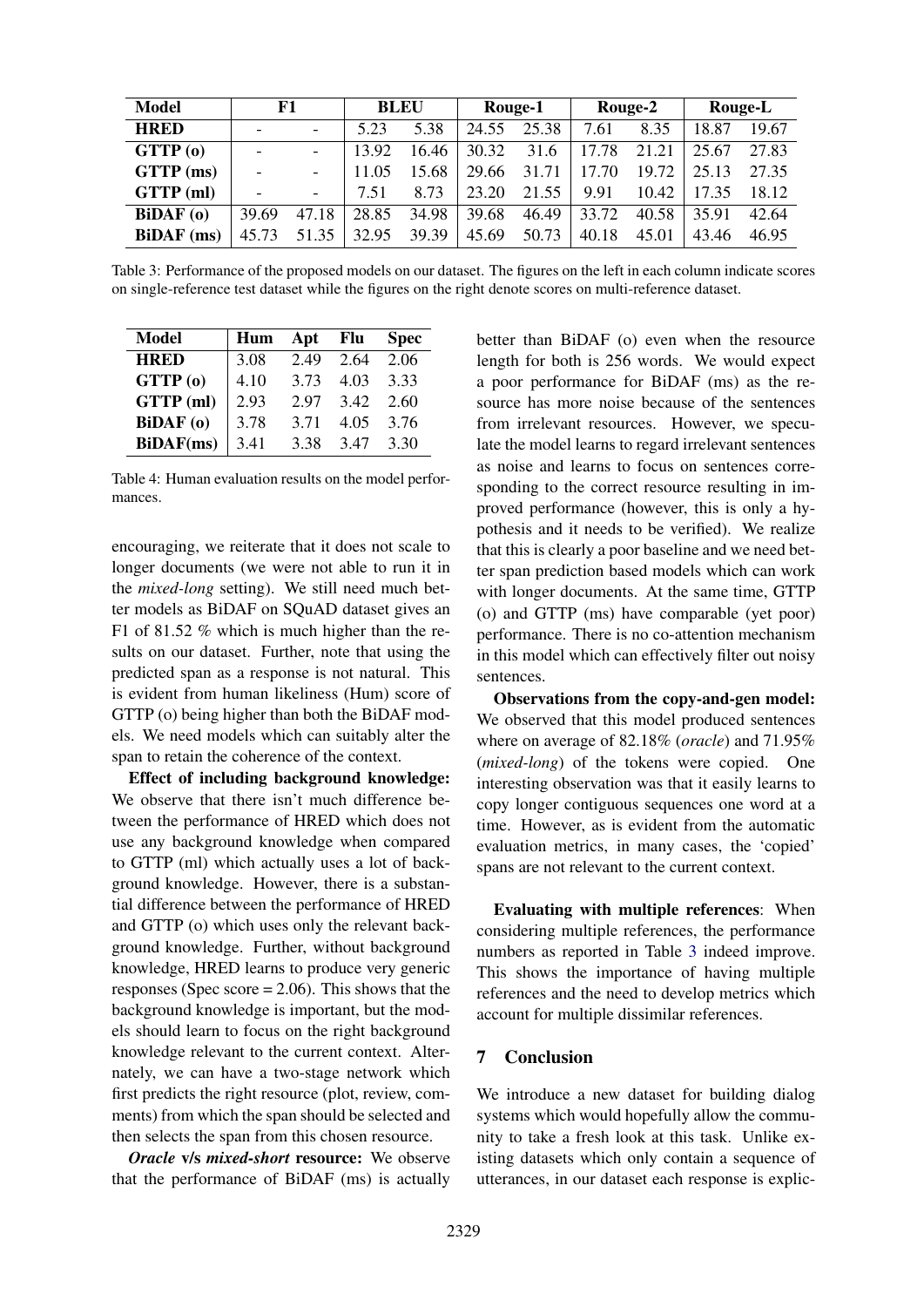| <b>Model</b>      | F1                           |                          | <b>BLEU</b> |       | Rouge-1 |       | Rouge-2 |       | Rouge-L |       |
|-------------------|------------------------------|--------------------------|-------------|-------|---------|-------|---------|-------|---------|-------|
| <b>HRED</b>       |                              | $\overline{\phantom{0}}$ | 5.23        | 5.38  | 24.55   | 25.38 | 7.61    | 8.35  | 18.87   | 19.67 |
| GTTP(0)           | $\qquad \qquad \blacksquare$ | $\overline{\phantom{a}}$ | 13.92       | 16.46 | 30.32   | 31.6  | 17.78   | 21.21 | 25.67   | 27.83 |
| GTTP (ms)         | $\overline{a}$               | $\overline{\phantom{a}}$ | 11.05       | 15.68 | 29.66   | 31.71 | .70     | 19.72 | 25.13   | 27.35 |
| GTTP (ml)         |                              | $\equiv$                 | 7.51        | 8.73  | 23.20   | 21.55 | 9.91    | 10.42 | 7.35    | 18.12 |
| BiDAF(0)          | 39.69                        | 47.18                    | 28.85       | 34.98 | 39.68   | 46.49 | 33.72   | 40.58 | 35.91   | 42.64 |
| <b>BiDAF</b> (ms) | 45.73                        | 51.35                    | 32.95       | 39.39 | 45.69   | 50.73 | 40.18   | 45.01 | 43.46   | 46.95 |

Table 3: Performance of the proposed models on our dataset. The figures on the left in each column indicate scores on single-reference test dataset while the figures on the right denote scores on multi-reference dataset.

| Model            | Hum  | Apt Flu |      | <b>Spec</b> |
|------------------|------|---------|------|-------------|
| <b>HRED</b>      | 3.08 | 2.49    | 2.64 | 2.06        |
| GTTP(0)          | 4.10 | 3.73    | 4.03 | 3.33        |
| GTTP (ml)        | 2.93 | 2.97    | 3.42 | 2.60        |
| <b>BiDAF</b> (o) | 3.78 | 3.71    | 4.05 | 3.76        |
| <b>BiDAF(ms)</b> | 3.41 | 3.38    | 3.47 | 3.30        |

Table 4: Human evaluation results on the model performances.

encouraging, we reiterate that it does not scale to longer documents (we were not able to run it in the *mixed-long* setting). We still need much better models as BiDAF on SQuAD dataset gives an F1 of 81.52 % which is much higher than the results on our dataset. Further, note that using the predicted span as a response is not natural. This is evident from human likeliness (Hum) score of GTTP (o) being higher than both the BiDAF models. We need models which can suitably alter the span to retain the coherence of the context.

Effect of including background knowledge: We observe that there isn't much difference between the performance of HRED which does not use any background knowledge when compared to GTTP (ml) which actually uses a lot of background knowledge. However, there is a substantial difference between the performance of HRED and GTTP (o) which uses only the relevant background knowledge. Further, without background knowledge, HRED learns to produce very generic responses (Spec score  $= 2.06$ ). This shows that the background knowledge is important, but the models should learn to focus on the right background knowledge relevant to the current context. Alternately, we can have a two-stage network which first predicts the right resource (plot, review, comments) from which the span should be selected and then selects the span from this chosen resource.

*Oracle* v/s *mixed-short* resource: We observe that the performance of BiDAF (ms) is actually

<span id="page-7-1"></span><span id="page-7-0"></span>better than BiDAF (o) even when the resource length for both is 256 words. We would expect a poor performance for BiDAF (ms) as the resource has more noise because of the sentences from irrelevant resources. However, we speculate the model learns to regard irrelevant sentences as noise and learns to focus on sentences corresponding to the correct resource resulting in improved performance (however, this is only a hypothesis and it needs to be verified). We realize that this is clearly a poor baseline and we need better span prediction based models which can work with longer documents. At the same time, GTTP (o) and GTTP (ms) have comparable (yet poor) performance. There is no co-attention mechanism in this model which can effectively filter out noisy sentences.

Observations from the copy-and-gen model: We observed that this model produced sentences where on average of 82.18% (*oracle*) and 71.95% (*mixed-long*) of the tokens were copied. One interesting observation was that it easily learns to copy longer contiguous sequences one word at a time. However, as is evident from the automatic evaluation metrics, in many cases, the 'copied' spans are not relevant to the current context.

Evaluating with multiple references: When considering multiple references, the performance numbers as reported in Table [3](#page-7-1) indeed improve. This shows the importance of having multiple references and the need to develop metrics which account for multiple dissimilar references.

#### 7 Conclusion

We introduce a new dataset for building dialog systems which would hopefully allow the community to take a fresh look at this task. Unlike existing datasets which only contain a sequence of utterances, in our dataset each response is explic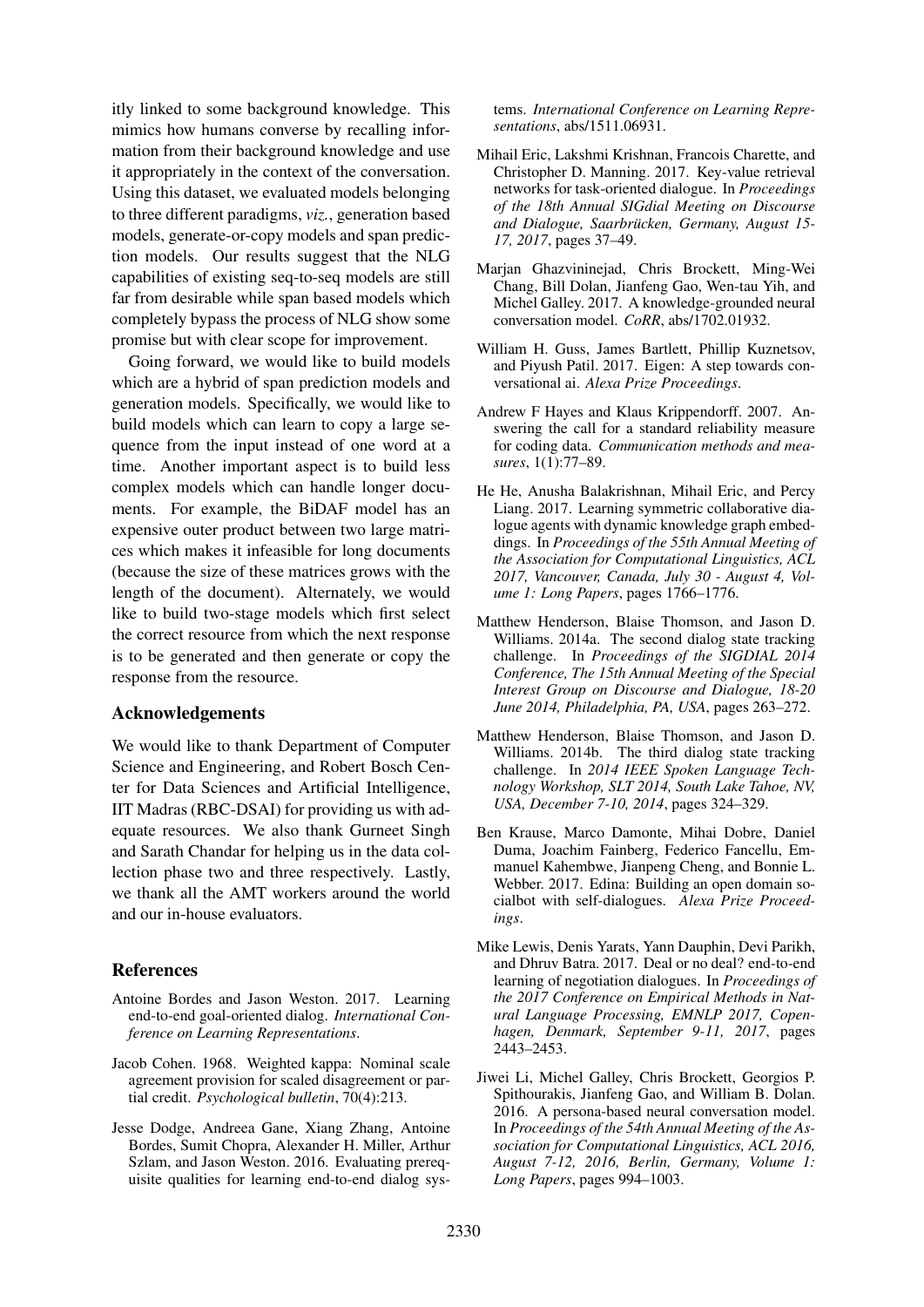itly linked to some background knowledge. This mimics how humans converse by recalling information from their background knowledge and use it appropriately in the context of the conversation. Using this dataset, we evaluated models belonging to three different paradigms, *viz.*, generation based models, generate-or-copy models and span prediction models. Our results suggest that the NLG capabilities of existing seq-to-seq models are still far from desirable while span based models which completely bypass the process of NLG show some promise but with clear scope for improvement.

Going forward, we would like to build models which are a hybrid of span prediction models and generation models. Specifically, we would like to build models which can learn to copy a large sequence from the input instead of one word at a time. Another important aspect is to build less complex models which can handle longer documents. For example, the BiDAF model has an expensive outer product between two large matrices which makes it infeasible for long documents (because the size of these matrices grows with the length of the document). Alternately, we would like to build two-stage models which first select the correct resource from which the next response is to be generated and then generate or copy the response from the resource.

### Acknowledgements

We would like to thank Department of Computer Science and Engineering, and Robert Bosch Center for Data Sciences and Artificial Intelligence, IIT Madras (RBC-DSAI) for providing us with adequate resources. We also thank Gurneet Singh and Sarath Chandar for helping us in the data collection phase two and three respectively. Lastly, we thank all the AMT workers around the world and our in-house evaluators.

#### References

- <span id="page-8-3"></span>Antoine Bordes and Jason Weston. 2017. Learning end-to-end goal-oriented dialog. *International Conference on Learning Representations*.
- <span id="page-8-11"></span>Jacob Cohen. 1968. Weighted kappa: Nominal scale agreement provision for scaled disagreement or partial credit. *Psychological bulletin*, 70(4):213.
- <span id="page-8-4"></span>Jesse Dodge, Andreea Gane, Xiang Zhang, Antoine Bordes, Sumit Chopra, Alexander H. Miller, Arthur Szlam, and Jason Weston. 2016. Evaluating prerequisite qualities for learning end-to-end dialog sys-

tems. *International Conference on Learning Representations*, abs/1511.06931.

- <span id="page-8-6"></span>Mihail Eric, Lakshmi Krishnan, Francois Charette, and Christopher D. Manning. 2017. Key-value retrieval networks for task-oriented dialogue. In *Proceedings of the 18th Annual SIGdial Meeting on Discourse and Dialogue, Saarbrucken, Germany, August 15- ¨ 17, 2017*, pages 37–49.
- <span id="page-8-0"></span>Marjan Ghazvininejad, Chris Brockett, Ming-Wei Chang, Bill Dolan, Jianfeng Gao, Wen-tau Yih, and Michel Galley. 2017. A knowledge-grounded neural conversation model. *CoRR*, abs/1702.01932.
- <span id="page-8-7"></span>William H. Guss, James Bartlett, Phillip Kuznetsov, and Piyush Patil. 2017. Eigen: A step towards conversational ai. *Alexa Prize Proceedings*.
- <span id="page-8-12"></span>Andrew F Hayes and Klaus Krippendorff. 2007. Answering the call for a standard reliability measure for coding data. *Communication methods and measures*, 1(1):77–89.
- <span id="page-8-8"></span>He He, Anusha Balakrishnan, Mihail Eric, and Percy Liang. 2017. Learning symmetric collaborative dialogue agents with dynamic knowledge graph embeddings. In *Proceedings of the 55th Annual Meeting of the Association for Computational Linguistics, ACL 2017, Vancouver, Canada, July 30 - August 4, Volume 1: Long Papers*, pages 1766–1776.
- <span id="page-8-1"></span>Matthew Henderson, Blaise Thomson, and Jason D. Williams. 2014a. The second dialog state tracking challenge. In *Proceedings of the SIGDIAL 2014 Conference, The 15th Annual Meeting of the Special Interest Group on Discourse and Dialogue, 18-20 June 2014, Philadelphia, PA, USA*, pages 263–272.
- <span id="page-8-2"></span>Matthew Henderson, Blaise Thomson, and Jason D. Williams. 2014b. The third dialog state tracking challenge. In *2014 IEEE Spoken Language Technology Workshop, SLT 2014, South Lake Tahoe, NV, USA, December 7-10, 2014*, pages 324–329.
- <span id="page-8-10"></span>Ben Krause, Marco Damonte, Mihai Dobre, Daniel Duma, Joachim Fainberg, Federico Fancellu, Emmanuel Kahembwe, Jianpeng Cheng, and Bonnie L. Webber. 2017. Edina: Building an open domain socialbot with self-dialogues. *Alexa Prize Proceedings*.
- <span id="page-8-9"></span>Mike Lewis, Denis Yarats, Yann Dauphin, Devi Parikh, and Dhruv Batra. 2017. Deal or no deal? end-to-end learning of negotiation dialogues. In *Proceedings of the 2017 Conference on Empirical Methods in Natural Language Processing, EMNLP 2017, Copenhagen, Denmark, September 9-11, 2017*, pages 2443–2453.
- <span id="page-8-5"></span>Jiwei Li, Michel Galley, Chris Brockett, Georgios P. Spithourakis, Jianfeng Gao, and William B. Dolan. 2016. A persona-based neural conversation model. In *Proceedings of the 54th Annual Meeting of the Association for Computational Linguistics, ACL 2016, August 7-12, 2016, Berlin, Germany, Volume 1: Long Papers*, pages 994–1003.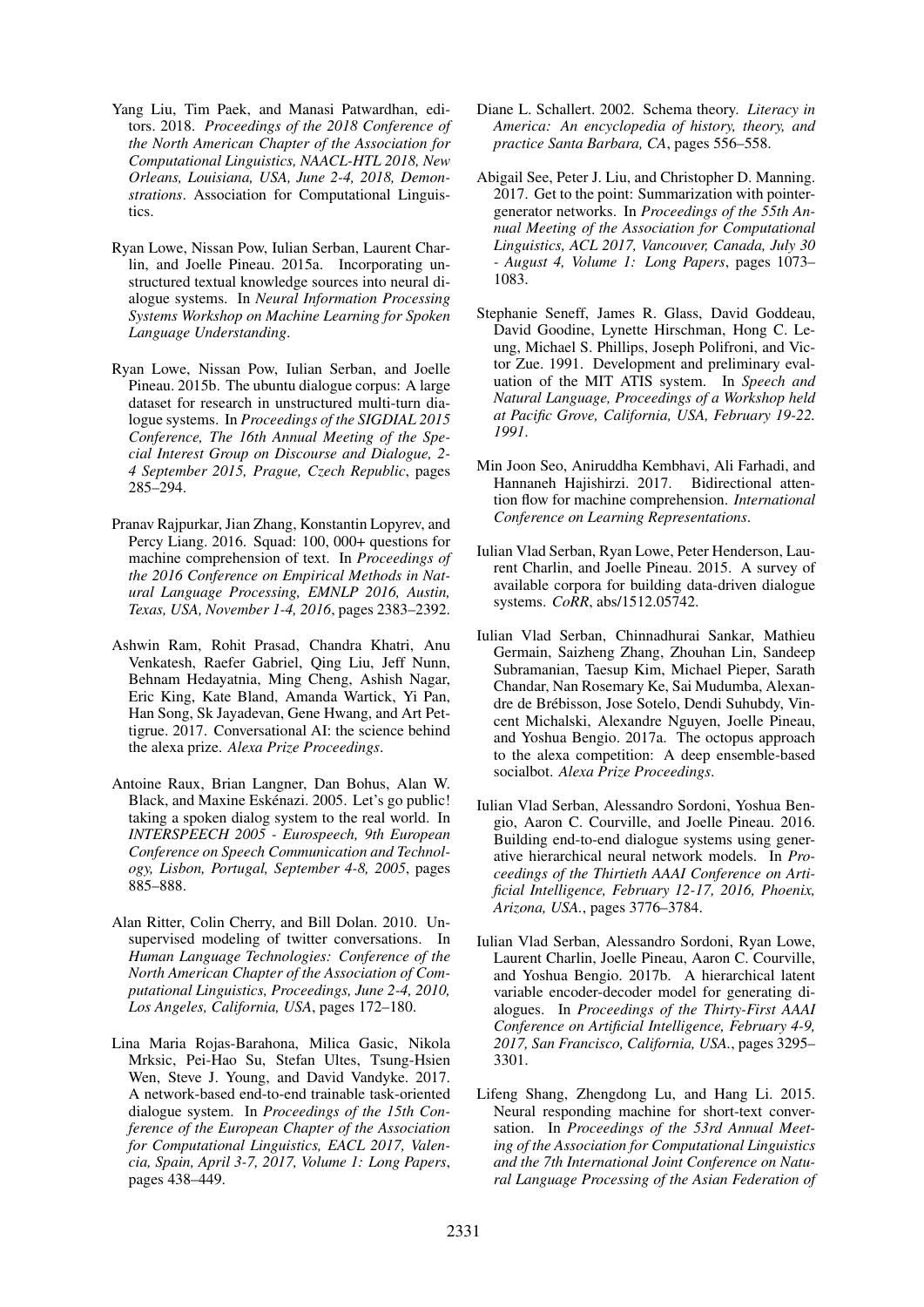- <span id="page-9-12"></span>Yang Liu, Tim Paek, and Manasi Patwardhan, editors. 2018. *Proceedings of the 2018 Conference of the North American Chapter of the Association for Computational Linguistics, NAACL-HTL 2018, New Orleans, Louisiana, USA, June 2-4, 2018, Demonstrations*. Association for Computational Linguistics.
- <span id="page-9-4"></span>Ryan Lowe, Nissan Pow, Iulian Serban, Laurent Charlin, and Joelle Pineau. 2015a. Incorporating unstructured textual knowledge sources into neural dialogue systems. In *Neural Information Processing Systems Workshop on Machine Learning for Spoken Language Understanding*.
- <span id="page-9-0"></span>Ryan Lowe, Nissan Pow, Iulian Serban, and Joelle Pineau. 2015b. The ubuntu dialogue corpus: A large dataset for research in unstructured multi-turn dialogue systems. In *Proceedings of the SIGDIAL 2015 Conference, The 16th Annual Meeting of the Special Interest Group on Discourse and Dialogue, 2- 4 September 2015, Prague, Czech Republic*, pages 285–294.
- <span id="page-9-16"></span>Pranav Rajpurkar, Jian Zhang, Konstantin Lopyrev, and Percy Liang. 2016. Squad: 100, 000+ questions for machine comprehension of text. In *Proceedings of the 2016 Conference on Empirical Methods in Natural Language Processing, EMNLP 2016, Austin, Texas, USA, November 1-4, 2016*, pages 2383–2392.
- <span id="page-9-10"></span>Ashwin Ram, Rohit Prasad, Chandra Khatri, Anu Venkatesh, Raefer Gabriel, Qing Liu, Jeff Nunn, Behnam Hedayatnia, Ming Cheng, Ashish Nagar, Eric King, Kate Bland, Amanda Wartick, Yi Pan, Han Song, Sk Jayadevan, Gene Hwang, and Art Pettigrue. 2017. Conversational AI: the science behind the alexa prize. *Alexa Prize Proceedings*.
- <span id="page-9-8"></span>Antoine Raux, Brian Langner, Dan Bohus, Alan W. Black, and Maxine Eskénazi. 2005. Let's go public! taking a spoken dialog system to the real world. In *INTERSPEECH 2005 - Eurospeech, 9th European Conference on Speech Communication and Technology, Lisbon, Portugal, September 4-8, 2005*, pages 885–888.
- <span id="page-9-1"></span>Alan Ritter, Colin Cherry, and Bill Dolan. 2010. Unsupervised modeling of twitter conversations. In *Human Language Technologies: Conference of the North American Chapter of the Association of Computational Linguistics, Proceedings, June 2-4, 2010, Los Angeles, California, USA*, pages 172–180.
- <span id="page-9-3"></span>Lina Maria Rojas-Barahona, Milica Gasic, Nikola Mrksic, Pei-Hao Su, Stefan Ultes, Tsung-Hsien Wen, Steve J. Young, and David Vandyke. 2017. A network-based end-to-end trainable task-oriented dialogue system. In *Proceedings of the 15th Conference of the European Chapter of the Association for Computational Linguistics, EACL 2017, Valencia, Spain, April 3-7, 2017, Volume 1: Long Papers*, pages 438–449.
- <span id="page-9-7"></span>Diane L. Schallert. 2002. Schema theory. *Literacy in America: An encyclopedia of history, theory, and practice Santa Barbara, CA*, pages 556–558.
- <span id="page-9-14"></span>Abigail See, Peter J. Liu, and Christopher D. Manning. 2017. Get to the point: Summarization with pointergenerator networks. In *Proceedings of the 55th Annual Meeting of the Association for Computational Linguistics, ACL 2017, Vancouver, Canada, July 30 - August 4, Volume 1: Long Papers*, pages 1073– 1083.
- <span id="page-9-9"></span>Stephanie Seneff, James R. Glass, David Goddeau, David Goodine, Lynette Hirschman, Hong C. Leung, Michael S. Phillips, Joseph Polifroni, and Victor Zue. 1991. Development and preliminary evaluation of the MIT ATIS system. In *Speech and Natural Language, Proceedings of a Workshop held at Pacific Grove, California, USA, February 19-22. 1991*.
- <span id="page-9-15"></span>Min Joon Seo, Aniruddha Kembhavi, Ali Farhadi, and Hannaneh Hajishirzi. 2017. Bidirectional attention flow for machine comprehension. *International Conference on Learning Representations*.
- <span id="page-9-5"></span>Iulian Vlad Serban, Ryan Lowe, Peter Henderson, Laurent Charlin, and Joelle Pineau. 2015. A survey of available corpora for building data-driven dialogue systems. *CoRR*, abs/1512.05742.
- <span id="page-9-11"></span>Iulian Vlad Serban, Chinnadhurai Sankar, Mathieu Germain, Saizheng Zhang, Zhouhan Lin, Sandeep Subramanian, Taesup Kim, Michael Pieper, Sarath Chandar, Nan Rosemary Ke, Sai Mudumba, Alexandre de Brebisson, Jose Sotelo, Dendi Suhubdy, Vin- ´ cent Michalski, Alexandre Nguyen, Joelle Pineau, and Yoshua Bengio. 2017a. The octopus approach to the alexa competition: A deep ensemble-based socialbot. *Alexa Prize Proceedings*.
- <span id="page-9-2"></span>Iulian Vlad Serban, Alessandro Sordoni, Yoshua Bengio, Aaron C. Courville, and Joelle Pineau. 2016. Building end-to-end dialogue systems using generative hierarchical neural network models. In *Proceedings of the Thirtieth AAAI Conference on Artificial Intelligence, February 12-17, 2016, Phoenix, Arizona, USA.*, pages 3776–3784.
- <span id="page-9-13"></span>Iulian Vlad Serban, Alessandro Sordoni, Ryan Lowe, Laurent Charlin, Joelle Pineau, Aaron C. Courville, and Yoshua Bengio. 2017b. A hierarchical latent variable encoder-decoder model for generating dialogues. In *Proceedings of the Thirty-First AAAI Conference on Artificial Intelligence, February 4-9, 2017, San Francisco, California, USA.*, pages 3295– 3301.
- <span id="page-9-6"></span>Lifeng Shang, Zhengdong Lu, and Hang Li. 2015. Neural responding machine for short-text conversation. In *Proceedings of the 53rd Annual Meeting of the Association for Computational Linguistics and the 7th International Joint Conference on Natural Language Processing of the Asian Federation of*